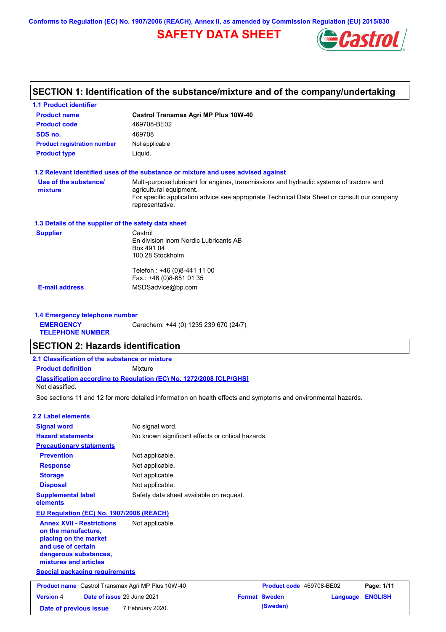**Conforms to Regulation (EC) No. 1907/2006 (REACH), Annex II, as amended by Commission Regulation (EU) 2015/830**

# **SAFETY DATA SHEET**



# **SECTION 1: Identification of the substance/mixture and of the company/undertaking**

**1.1 Product identifier**

| <b>Product name</b>                                                                                 | <b>Castrol Transmax Agri MP Plus 10W-40</b>                                                                                               |                                              |                |
|-----------------------------------------------------------------------------------------------------|-------------------------------------------------------------------------------------------------------------------------------------------|----------------------------------------------|----------------|
| <b>Product code</b>                                                                                 | 469708-BE02                                                                                                                               |                                              |                |
| SDS no.                                                                                             | 469708                                                                                                                                    |                                              |                |
| <b>Product registration number</b>                                                                  | Not applicable                                                                                                                            |                                              |                |
| <b>Product type</b>                                                                                 | Liquid.                                                                                                                                   |                                              |                |
|                                                                                                     | 1.2 Relevant identified uses of the substance or mixture and uses advised against                                                         |                                              |                |
| Use of the substance/                                                                               | Multi-purpose lubricant for engines, transmissions and hydraulic systems of tractors and                                                  |                                              |                |
| mixture                                                                                             | agricultural equipment.<br>For specific application advice see appropriate Technical Data Sheet or consult our company<br>representative. |                                              |                |
| 1.3 Details of the supplier of the safety data sheet                                                |                                                                                                                                           |                                              |                |
| <b>Supplier</b>                                                                                     | Castrol                                                                                                                                   |                                              |                |
|                                                                                                     | En division inom Nordic Lubricants AB<br>Box 491 04<br>100 28 Stockholm                                                                   |                                              |                |
|                                                                                                     |                                                                                                                                           |                                              |                |
|                                                                                                     | Telefon: +46 (0)8-441 11 00<br>Fax.: +46 (0)8-651 01 35                                                                                   |                                              |                |
| <b>E-mail address</b>                                                                               | MSDSadvice@bp.com                                                                                                                         |                                              |                |
|                                                                                                     |                                                                                                                                           |                                              |                |
| 1.4 Emergency telephone number                                                                      |                                                                                                                                           |                                              |                |
| <b>EMERGENCY</b><br><b>TELEPHONE NUMBER</b>                                                         | Carechem: +44 (0) 1235 239 670 (24/7)                                                                                                     |                                              |                |
|                                                                                                     |                                                                                                                                           |                                              |                |
| <b>SECTION 2: Hazards identification</b>                                                            |                                                                                                                                           |                                              |                |
| 2.1 Classification of the substance or mixture                                                      |                                                                                                                                           |                                              |                |
| <b>Product definition</b>                                                                           | Mixture                                                                                                                                   |                                              |                |
| Not classified.                                                                                     | <b>Classification according to Regulation (EC) No. 1272/2008 [CLP/GHS]</b>                                                                |                                              |                |
|                                                                                                     | See sections 11 and 12 for more detailed information on health effects and symptoms and environmental hazards.                            |                                              |                |
| <b>2.2 Label elements</b>                                                                           |                                                                                                                                           |                                              |                |
| <b>Signal word</b>                                                                                  | No signal word.                                                                                                                           |                                              |                |
| <b>Hazard statements</b>                                                                            | No known significant effects or critical hazards.                                                                                         |                                              |                |
| <b>Precautionary statements</b>                                                                     |                                                                                                                                           |                                              |                |
| <b>Prevention</b>                                                                                   | Not applicable.                                                                                                                           |                                              |                |
| <b>Response</b>                                                                                     | Not applicable.                                                                                                                           |                                              |                |
|                                                                                                     |                                                                                                                                           |                                              |                |
| <b>Storage</b>                                                                                      | Not applicable.                                                                                                                           |                                              |                |
| <b>Disposal</b><br><b>Supplemental label</b><br>elements                                            | Not applicable.<br>Safety data sheet available on request.                                                                                |                                              |                |
|                                                                                                     |                                                                                                                                           |                                              |                |
| EU Regulation (EC) No. 1907/2006 (REACH)<br><b>Annex XVII - Restrictions</b><br>on the manufacture, | Not applicable.                                                                                                                           |                                              |                |
| placing on the market<br>and use of certain<br>dangerous substances,                                |                                                                                                                                           |                                              |                |
| mixtures and articles                                                                               |                                                                                                                                           |                                              |                |
| <b>Special packaging requirements</b>                                                               |                                                                                                                                           |                                              |                |
| <b>Product name</b> Castrol Transmax Agri MP Plus 10W-40                                            |                                                                                                                                           | Product code 469708-BE02                     | Page: 1/11     |
| <b>Version 4</b><br>Date of issue 29 June 2021                                                      |                                                                                                                                           | <b>Format Sweden</b><br>Language<br>(Sweden) | <b>ENGLISH</b> |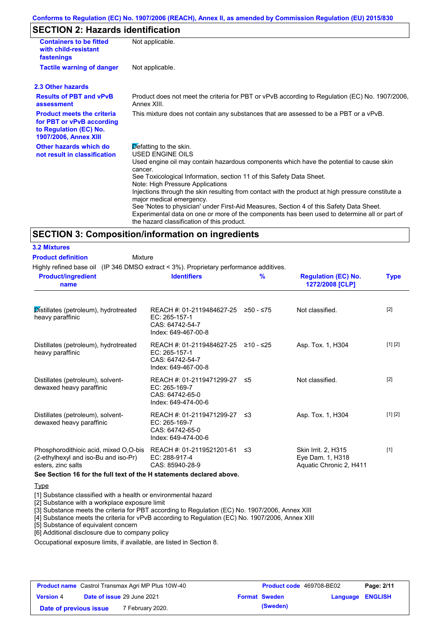### **SECTION 2: Hazards identification**

| <b>Containers to be fitted</b><br>with child-resistant<br>fastenings                                              | Not applicable.                                                                                                                                                                                                                                                                                                                                                                                                                                                                                                                                                                                                                               |
|-------------------------------------------------------------------------------------------------------------------|-----------------------------------------------------------------------------------------------------------------------------------------------------------------------------------------------------------------------------------------------------------------------------------------------------------------------------------------------------------------------------------------------------------------------------------------------------------------------------------------------------------------------------------------------------------------------------------------------------------------------------------------------|
| <b>Tactile warning of danger</b>                                                                                  | Not applicable.                                                                                                                                                                                                                                                                                                                                                                                                                                                                                                                                                                                                                               |
| 2.3 Other hazards                                                                                                 |                                                                                                                                                                                                                                                                                                                                                                                                                                                                                                                                                                                                                                               |
| <b>Results of PBT and vPvB</b><br>assessment                                                                      | Product does not meet the criteria for PBT or vPvB according to Regulation (EC) No. 1907/2006,<br>Annex XIII.                                                                                                                                                                                                                                                                                                                                                                                                                                                                                                                                 |
| <b>Product meets the criteria</b><br>for PBT or vPvB according<br>to Regulation (EC) No.<br>1907/2006, Annex XIII | This mixture does not contain any substances that are assessed to be a PBT or a vPvB.                                                                                                                                                                                                                                                                                                                                                                                                                                                                                                                                                         |
| Other hazards which do<br>not result in classification                                                            | Defatting to the skin.<br><b>USED ENGINE OILS</b><br>Used engine oil may contain hazardous components which have the potential to cause skin<br>cancer.<br>See Toxicological Information, section 11 of this Safety Data Sheet.<br>Note: High Pressure Applications<br>Injections through the skin resulting from contact with the product at high pressure constitute a<br>major medical emergency.<br>See 'Notes to physician' under First-Aid Measures, Section 4 of this Safety Data Sheet.<br>Experimental data on one or more of the components has been used to determine all or part of<br>the hazard classification of this product. |

### **SECTION 3: Composition/information on ingredients**

| <b>3.2 Mixtures</b> |  |  |  |  |
|---------------------|--|--|--|--|
|                     |  |  |  |  |

**Product definition**

Mixture

Highly refined base oil (IP 346 DMSO extract < 3%). Proprietary performance additives.

| <b>Product/ingredient</b><br>name                                                                   | <b>Identifiers</b>                                                                                   | %    | <b>Regulation (EC) No.</b><br>1272/2008 [CLP]                      | <b>Type</b> |
|-----------------------------------------------------------------------------------------------------|------------------------------------------------------------------------------------------------------|------|--------------------------------------------------------------------|-------------|
| Distillates (petroleum), hydrotreated<br>heavy paraffinic                                           | REACH #: 01-2119484627-25 $\geq$ 50 - ≤75<br>EC: 265-157-1<br>CAS: 64742-54-7<br>Index: 649-467-00-8 |      | Not classified.                                                    | $[2]$       |
| Distillates (petroleum), hydrotreated<br>heavy paraffinic                                           | REACH #: 01-2119484627-25 ≥10 - ≤25<br>EC: 265-157-1<br>CAS: 64742-54-7<br>Index: 649-467-00-8       |      | Asp. Tox. 1, H304                                                  | [1] [2]     |
| Distillates (petroleum), solvent-<br>dewaxed heavy paraffinic                                       | REACH #: 01-2119471299-27 ≤5<br>EC: 265-169-7<br>CAS: 64742-65-0<br>Index: 649-474-00-6              |      | Not classified.                                                    | $[2]$       |
| Distillates (petroleum), solvent-<br>dewaxed heavy paraffinic                                       | REACH #: 01-2119471299-27 ≤3<br>$EC: 265-169-7$<br>CAS: 64742-65-0<br>Index: 649-474-00-6            |      | Asp. Tox. 1, H304                                                  | [1] [2]     |
| Phosphorodithioic acid, mixed O,O-bis<br>(2-ethylhexyl and iso-Bu and iso-Pr)<br>esters, zinc salts | REACH #: 01-2119521201-61<br>EC: 288-917-4<br>CAS: 85940-28-9                                        | ו≥ ≤ | Skin Irrit. 2, H315<br>Eye Dam. 1, H318<br>Aquatic Chronic 2, H411 | $[1]$       |

**See Section 16 for the full text of the H statements declared above.**

#### **Type**

[1] Substance classified with a health or environmental hazard

[2] Substance with a workplace exposure limit

[3] Substance meets the criteria for PBT according to Regulation (EC) No. 1907/2006, Annex XIII

[4] Substance meets the criteria for vPvB according to Regulation (EC) No. 1907/2006, Annex XIII

[5] Substance of equivalent concern

[6] Additional disclosure due to company policy

Occupational exposure limits, if available, are listed in Section 8.

|                        | <b>Product name</b> Castrol Transmax Agri MP Plus 10W-40 | <b>Product code</b> 469708-BE02 |                  | Page: 2/11 |
|------------------------|----------------------------------------------------------|---------------------------------|------------------|------------|
| <b>Version 4</b>       | <b>Date of issue 29 June 2021</b>                        | <b>Format Sweden</b>            | Language ENGLISH |            |
| Date of previous issue | 7 February 2020.                                         | (Sweden)                        |                  |            |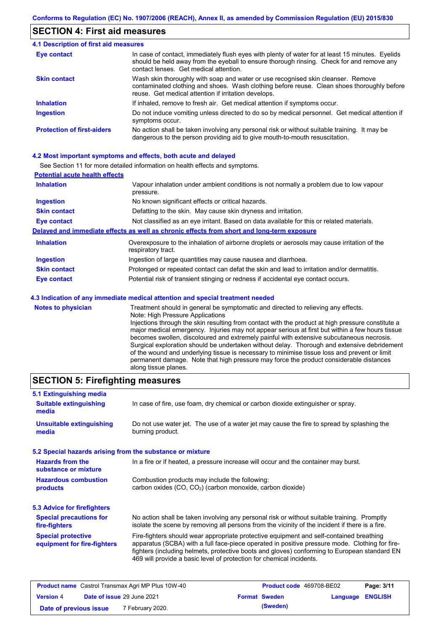### **SECTION 4: First aid measures**

#### Do not induce vomiting unless directed to do so by medical personnel. Get medical attention if symptoms occur. In case of contact, immediately flush eyes with plenty of water for at least 15 minutes. Eyelids should be held away from the eyeball to ensure thorough rinsing. Check for and remove any contact lenses. Get medical attention. **4.1 Description of first aid measures** If inhaled, remove to fresh air. Get medical attention if symptoms occur. **Ingestion Inhalation Eye contact Protection of first-aiders** No action shall be taken involving any personal risk or without suitable training. It may be dangerous to the person providing aid to give mouth-to-mouth resuscitation. **Skin contact** Wash skin thoroughly with soap and water or use recognised skin cleanser. Remove contaminated clothing and shoes. Wash clothing before reuse. Clean shoes thoroughly before reuse. Get medical attention if irritation develops.

#### **4.2 Most important symptoms and effects, both acute and delayed**

See Section 11 for more detailed information on health effects and symptoms.

| <b>Potential acute health effects</b> |                                                                                                                   |
|---------------------------------------|-------------------------------------------------------------------------------------------------------------------|
| <b>Inhalation</b>                     | Vapour inhalation under ambient conditions is not normally a problem due to low vapour<br>pressure.               |
| <b>Ingestion</b>                      | No known significant effects or critical hazards.                                                                 |
| <b>Skin contact</b>                   | Defatting to the skin. May cause skin dryness and irritation.                                                     |
| <b>Eye contact</b>                    | Not classified as an eye irritant. Based on data available for this or related materials.                         |
|                                       | Delayed and immediate effects as well as chronic effects from short and long-term exposure                        |
| <b>Inhalation</b>                     | Overexposure to the inhalation of airborne droplets or aerosols may cause irritation of the<br>respiratory tract. |
| <b>Ingestion</b>                      | Ingestion of large quantities may cause nausea and diarrhoea.                                                     |
| <b>Skin contact</b>                   | Prolonged or repeated contact can defat the skin and lead to irritation and/or dermatitis.                        |
| Eye contact                           | Potential risk of transient stinging or redness if accidental eye contact occurs.                                 |
|                                       | 4.3 Indication of any immediate medical attention and special treatment needed                                    |
| Notes to physician                    | Treatment should in general he symptomatic and directed to relieving any effects                                  |

| <b>Notes to physician</b> | Treatment should in general be symptomatic and directed to relieving any effects.                 |
|---------------------------|---------------------------------------------------------------------------------------------------|
|                           | Note: High Pressure Applications                                                                  |
|                           | Injections through the skin resulting from contact with the product at high pressure constitute a |
|                           | major medical emergency. Injuries may not appear serious at first but within a few hours tissue   |
|                           | becomes swollen, discoloured and extremely painful with extensive subcutaneous necrosis.          |
|                           | Surgical exploration should be undertaken without delay. Thorough and extensive debridement       |
|                           | of the wound and underlying tissue is necessary to minimise tissue loss and prevent or limit      |
|                           | permanent damage. Note that high pressure may force the product considerable distances            |
|                           | along tissue planes.                                                                              |

### **SECTION 5: Firefighting measures**

| 5.1 Extinguishing media                                   |                                                                                                                                                                                                                                                                                                                                                                   |
|-----------------------------------------------------------|-------------------------------------------------------------------------------------------------------------------------------------------------------------------------------------------------------------------------------------------------------------------------------------------------------------------------------------------------------------------|
| <b>Suitable extinguishing</b><br>media                    | In case of fire, use foam, dry chemical or carbon dioxide extinguisher or spray.                                                                                                                                                                                                                                                                                  |
| <b>Unsuitable extinguishing</b><br>media                  | Do not use water jet. The use of a water jet may cause the fire to spread by splashing the<br>burning product.                                                                                                                                                                                                                                                    |
| 5.2 Special hazards arising from the substance or mixture |                                                                                                                                                                                                                                                                                                                                                                   |
| <b>Hazards from the</b><br>substance or mixture           | In a fire or if heated, a pressure increase will occur and the container may burst.                                                                                                                                                                                                                                                                               |
| <b>Hazardous combustion</b><br>products                   | Combustion products may include the following:<br>carbon oxides (CO, CO <sub>2</sub> ) (carbon monoxide, carbon dioxide)                                                                                                                                                                                                                                          |
| 5.3 Advice for firefighters                               |                                                                                                                                                                                                                                                                                                                                                                   |
| <b>Special precautions for</b><br>fire-fighters           | No action shall be taken involving any personal risk or without suitable training. Promptly<br>isolate the scene by removing all persons from the vicinity of the incident if there is a fire.                                                                                                                                                                    |
| <b>Special protective</b><br>equipment for fire-fighters  | Fire-fighters should wear appropriate protective equipment and self-contained breathing<br>apparatus (SCBA) with a full face-piece operated in positive pressure mode. Clothing for fire-<br>fighters (including helmets, protective boots and gloves) conforming to European standard EN<br>469 will provide a basic level of protection for chemical incidents. |

|                        | <b>Product name</b> Castrol Transmax Agri MP Plus 10W-40 | Product code 469708-BE02 |                         | Page: 3/11 |
|------------------------|----------------------------------------------------------|--------------------------|-------------------------|------------|
| <b>Version 4</b>       | Date of issue 29 June 2021                               | <b>Format Sweden</b>     | <b>Language ENGLISH</b> |            |
| Date of previous issue | 7 February 2020.                                         | (Sweden)                 |                         |            |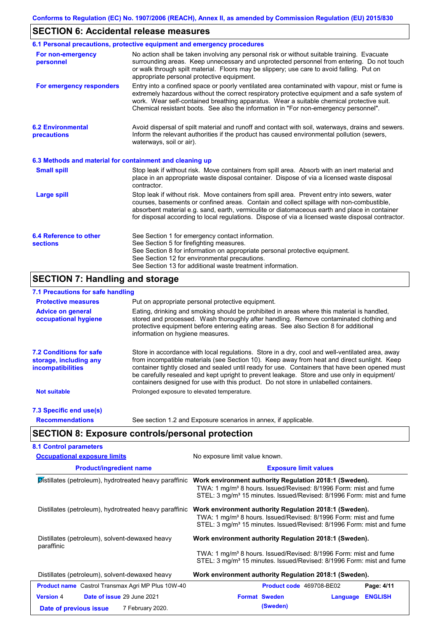### **SECTION 6: Accidental release measures**

|                                                          | 6.1 Personal precautions, protective equipment and emergency procedures                                                                                                                                                                                                                                                                                                                        |
|----------------------------------------------------------|------------------------------------------------------------------------------------------------------------------------------------------------------------------------------------------------------------------------------------------------------------------------------------------------------------------------------------------------------------------------------------------------|
| For non-emergency<br>personnel                           | No action shall be taken involving any personal risk or without suitable training. Evacuate<br>surrounding areas. Keep unnecessary and unprotected personnel from entering. Do not touch<br>or walk through spilt material. Floors may be slippery; use care to avoid falling. Put on<br>appropriate personal protective equipment.                                                            |
| For emergency responders                                 | Entry into a confined space or poorly ventilated area contaminated with vapour, mist or fume is<br>extremely hazardous without the correct respiratory protective equipment and a safe system of<br>work. Wear self-contained breathing apparatus. Wear a suitable chemical protective suit.<br>Chemical resistant boots. See also the information in "For non-emergency personnel".           |
| <b>6.2 Environmental</b><br>precautions                  | Avoid dispersal of spilt material and runoff and contact with soil, waterways, drains and sewers.<br>Inform the relevant authorities if the product has caused environmental pollution (sewers,<br>waterways, soil or air).                                                                                                                                                                    |
| 6.3 Methods and material for containment and cleaning up |                                                                                                                                                                                                                                                                                                                                                                                                |
| <b>Small spill</b>                                       | Stop leak if without risk. Move containers from spill area. Absorb with an inert material and<br>place in an appropriate waste disposal container. Dispose of via a licensed waste disposal<br>contractor.                                                                                                                                                                                     |
| <b>Large spill</b>                                       | Stop leak if without risk. Move containers from spill area. Prevent entry into sewers, water<br>courses, basements or confined areas. Contain and collect spillage with non-combustible,<br>absorbent material e.g. sand, earth, vermiculite or diatomaceous earth and place in container<br>for disposal according to local regulations. Dispose of via a licensed waste disposal contractor. |
| 6.4 Reference to other<br><b>sections</b>                | See Section 1 for emergency contact information.<br>See Section 5 for firefighting measures.<br>See Section 8 for information on appropriate personal protective equipment.<br>See Section 12 for environmental precautions.<br>See Section 13 for additional waste treatment information.                                                                                                     |

### **SECTION 7: Handling and storage**

### **7.1 Precautions for safe handling**

| <b>Protective measures</b>                                                           | Put on appropriate personal protective equipment.                                                                                                                                                                                                                                                                                                                                                                                                                                        |
|--------------------------------------------------------------------------------------|------------------------------------------------------------------------------------------------------------------------------------------------------------------------------------------------------------------------------------------------------------------------------------------------------------------------------------------------------------------------------------------------------------------------------------------------------------------------------------------|
| <b>Advice on general</b><br>occupational hygiene                                     | Eating, drinking and smoking should be prohibited in areas where this material is handled,<br>stored and processed. Wash thoroughly after handling. Remove contaminated clothing and<br>protective equipment before entering eating areas. See also Section 8 for additional<br>information on hygiene measures.                                                                                                                                                                         |
| <b>7.2 Conditions for safe</b><br>storage, including any<br><i>incompatibilities</i> | Store in accordance with local requiations. Store in a dry, cool and well-ventilated area, away<br>from incompatible materials (see Section 10). Keep away from heat and direct sunlight. Keep<br>container tightly closed and sealed until ready for use. Containers that have been opened must<br>be carefully resealed and kept upright to prevent leakage. Store and use only in equipment/<br>containers designed for use with this product. Do not store in unlabelled containers. |
| <b>Not suitable</b>                                                                  | Prolonged exposure to elevated temperature.                                                                                                                                                                                                                                                                                                                                                                                                                                              |
| 7.3 Specific end use(s)                                                              |                                                                                                                                                                                                                                                                                                                                                                                                                                                                                          |
| <b>Recommendations</b>                                                               | See section 1.2 and Exposure scenarios in annex, if applicable.                                                                                                                                                                                                                                                                                                                                                                                                                          |

## **SECTION 8: Exposure controls/personal protection**

| <b>Occupational exposure limits</b>                      | No exposure limit value known.                                                                                                                                                                                             |  |  |  |
|----------------------------------------------------------|----------------------------------------------------------------------------------------------------------------------------------------------------------------------------------------------------------------------------|--|--|--|
| <b>Product/ingredient name</b>                           | <b>Exposure limit values</b>                                                                                                                                                                                               |  |  |  |
| Distillates (petroleum), hydrotreated heavy paraffinic   | Work environment authority Regulation 2018:1 (Sweden).<br>TWA: 1 mg/m <sup>3</sup> 8 hours. Issued/Revised: 8/1996 Form: mist and fume<br>STEL: 3 mg/m <sup>3</sup> 15 minutes. Issued/Revised: 8/1996 Form: mist and fume |  |  |  |
| Distillates (petroleum), hydrotreated heavy paraffinic   | Work environment authority Regulation 2018:1 (Sweden).<br>TWA: 1 mg/m <sup>3</sup> 8 hours. Issued/Revised: 8/1996 Form: mist and fume<br>STEL: 3 mg/m <sup>3</sup> 15 minutes. Issued/Revised: 8/1996 Form: mist and fume |  |  |  |
| Distillates (petroleum), solvent-dewaxed heavy           | Work environment authority Regulation 2018:1 (Sweden).                                                                                                                                                                     |  |  |  |
| paraffinic                                               | TWA: 1 mg/m <sup>3</sup> 8 hours. Issued/Revised: 8/1996 Form: mist and fume<br>STEL: 3 mg/m <sup>3</sup> 15 minutes. Issued/Revised: 8/1996 Form: mist and fume                                                           |  |  |  |
| Distillates (petroleum), solvent-dewaxed heavy           | Work environment authority Regulation 2018:1 (Sweden).                                                                                                                                                                     |  |  |  |
| <b>Product name</b> Castrol Transmax Agri MP Plus 10W-40 | Product code 469708-BE02<br>Page: 4/11                                                                                                                                                                                     |  |  |  |
| Date of issue 29 June 2021<br><b>Version 4</b>           | <b>Format Sweden</b><br><b>ENGLISH</b><br>Language                                                                                                                                                                         |  |  |  |
| 7 February 2020.<br>Date of previous issue               | (Sweden)                                                                                                                                                                                                                   |  |  |  |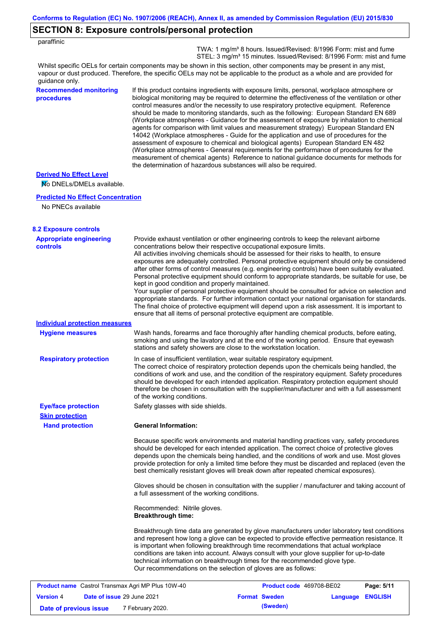### **SECTION 8: Exposure controls/personal protection**

 TWA: 1 mg/m³ 8 hours. Issued/Revised: 8/1996 Form: mist and fume STEL: 3 mg/m<sup>3</sup> 15 minutes. Issued/Revised: 8/1996 Form: mist and fume

Whilst specific OELs for certain components may be shown in this section, other components may be present in any mist, vapour or dust produced. Therefore, the specific OELs may not be applicable to the product as a whole and are provided for guidance only.

#### **Recommended monitoring procedures**

If this product contains ingredients with exposure limits, personal, workplace atmosphere or biological monitoring may be required to determine the effectiveness of the ventilation or other control measures and/or the necessity to use respiratory protective equipment. Reference should be made to monitoring standards, such as the following: European Standard EN 689 (Workplace atmospheres - Guidance for the assessment of exposure by inhalation to chemical agents for comparison with limit values and measurement strategy) European Standard EN 14042 (Workplace atmospheres - Guide for the application and use of procedures for the assessment of exposure to chemical and biological agents) European Standard EN 482 (Workplace atmospheres - General requirements for the performance of procedures for the measurement of chemical agents) Reference to national guidance documents for methods for the determination of hazardous substances will also be required.

#### **Derived No Effect Level**

No DNELs/DMELs available.

#### **Predicted No Effect Concentration**

No PNECs available

| <b>8.2 Exposure controls</b>                             |                                                                                                                                                                                                                                                                                                                                                                                                                                                                                                                                                                                                                                                                                                                                                                                                                                                                                                                                                                                                         |                          |                  |            |
|----------------------------------------------------------|---------------------------------------------------------------------------------------------------------------------------------------------------------------------------------------------------------------------------------------------------------------------------------------------------------------------------------------------------------------------------------------------------------------------------------------------------------------------------------------------------------------------------------------------------------------------------------------------------------------------------------------------------------------------------------------------------------------------------------------------------------------------------------------------------------------------------------------------------------------------------------------------------------------------------------------------------------------------------------------------------------|--------------------------|------------------|------------|
| <b>Appropriate engineering</b><br><b>controls</b>        | Provide exhaust ventilation or other engineering controls to keep the relevant airborne<br>concentrations below their respective occupational exposure limits.<br>All activities involving chemicals should be assessed for their risks to health, to ensure<br>exposures are adequately controlled. Personal protective equipment should only be considered<br>after other forms of control measures (e.g. engineering controls) have been suitably evaluated.<br>Personal protective equipment should conform to appropriate standards, be suitable for use, be<br>kept in good condition and properly maintained.<br>Your supplier of personal protective equipment should be consulted for advice on selection and<br>appropriate standards. For further information contact your national organisation for standards.<br>The final choice of protective equipment will depend upon a risk assessment. It is important to<br>ensure that all items of personal protective equipment are compatible. |                          |                  |            |
| <b>Individual protection measures</b>                    |                                                                                                                                                                                                                                                                                                                                                                                                                                                                                                                                                                                                                                                                                                                                                                                                                                                                                                                                                                                                         |                          |                  |            |
| <b>Hygiene measures</b>                                  | Wash hands, forearms and face thoroughly after handling chemical products, before eating,<br>smoking and using the lavatory and at the end of the working period. Ensure that eyewash<br>stations and safety showers are close to the workstation location.                                                                                                                                                                                                                                                                                                                                                                                                                                                                                                                                                                                                                                                                                                                                             |                          |                  |            |
| <b>Respiratory protection</b>                            | In case of insufficient ventilation, wear suitable respiratory equipment.<br>The correct choice of respiratory protection depends upon the chemicals being handled, the<br>conditions of work and use, and the condition of the respiratory equipment. Safety procedures<br>should be developed for each intended application. Respiratory protection equipment should<br>therefore be chosen in consultation with the supplier/manufacturer and with a full assessment<br>of the working conditions.                                                                                                                                                                                                                                                                                                                                                                                                                                                                                                   |                          |                  |            |
| <b>Eye/face protection</b>                               | Safety glasses with side shields.                                                                                                                                                                                                                                                                                                                                                                                                                                                                                                                                                                                                                                                                                                                                                                                                                                                                                                                                                                       |                          |                  |            |
| <b>Skin protection</b>                                   |                                                                                                                                                                                                                                                                                                                                                                                                                                                                                                                                                                                                                                                                                                                                                                                                                                                                                                                                                                                                         |                          |                  |            |
| <b>Hand protection</b>                                   | <b>General Information:</b>                                                                                                                                                                                                                                                                                                                                                                                                                                                                                                                                                                                                                                                                                                                                                                                                                                                                                                                                                                             |                          |                  |            |
|                                                          | Because specific work environments and material handling practices vary, safety procedures<br>should be developed for each intended application. The correct choice of protective gloves<br>depends upon the chemicals being handled, and the conditions of work and use. Most gloves<br>provide protection for only a limited time before they must be discarded and replaced (even the<br>best chemically resistant gloves will break down after repeated chemical exposures).                                                                                                                                                                                                                                                                                                                                                                                                                                                                                                                        |                          |                  |            |
|                                                          | Gloves should be chosen in consultation with the supplier / manufacturer and taking account of<br>a full assessment of the working conditions.                                                                                                                                                                                                                                                                                                                                                                                                                                                                                                                                                                                                                                                                                                                                                                                                                                                          |                          |                  |            |
|                                                          | Recommended: Nitrile gloves.<br><b>Breakthrough time:</b>                                                                                                                                                                                                                                                                                                                                                                                                                                                                                                                                                                                                                                                                                                                                                                                                                                                                                                                                               |                          |                  |            |
|                                                          | Breakthrough time data are generated by glove manufacturers under laboratory test conditions<br>and represent how long a glove can be expected to provide effective permeation resistance. It<br>is important when following breakthrough time recommendations that actual workplace<br>conditions are taken into account. Always consult with your glove supplier for up-to-date<br>technical information on breakthrough times for the recommended glove type.<br>Our recommendations on the selection of gloves are as follows:                                                                                                                                                                                                                                                                                                                                                                                                                                                                      |                          |                  |            |
| <b>Product name</b> Castrol Transmax Agri MP Plus 10W-40 |                                                                                                                                                                                                                                                                                                                                                                                                                                                                                                                                                                                                                                                                                                                                                                                                                                                                                                                                                                                                         | Product code 469708-BE02 |                  | Page: 5/11 |
| <b>Version 4</b><br>Date of issue 29 June 2021           |                                                                                                                                                                                                                                                                                                                                                                                                                                                                                                                                                                                                                                                                                                                                                                                                                                                                                                                                                                                                         | <b>Format Sweden</b>     | Language ENGLISH |            |

**Date of previous issue (Sweden)** 7 February 2020.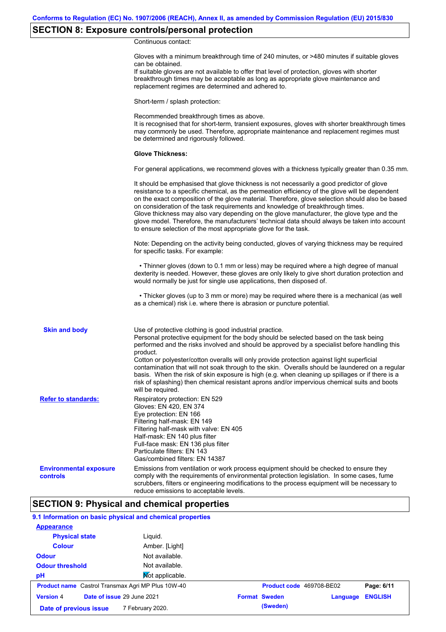### **SECTION 8: Exposure controls/personal protection**

Continuous contact:

|                                           | Gloves with a minimum breakthrough time of 240 minutes, or >480 minutes if suitable gloves<br>can be obtained.<br>If suitable gloves are not available to offer that level of protection, gloves with shorter<br>breakthrough times may be acceptable as long as appropriate glove maintenance and<br>replacement regimes are determined and adhered to.                                                                                                                                                                                                                                                                                                                              |
|-------------------------------------------|---------------------------------------------------------------------------------------------------------------------------------------------------------------------------------------------------------------------------------------------------------------------------------------------------------------------------------------------------------------------------------------------------------------------------------------------------------------------------------------------------------------------------------------------------------------------------------------------------------------------------------------------------------------------------------------|
|                                           | Short-term / splash protection:                                                                                                                                                                                                                                                                                                                                                                                                                                                                                                                                                                                                                                                       |
|                                           | Recommended breakthrough times as above.<br>It is recognised that for short-term, transient exposures, gloves with shorter breakthrough times<br>may commonly be used. Therefore, appropriate maintenance and replacement regimes must<br>be determined and rigorously followed.                                                                                                                                                                                                                                                                                                                                                                                                      |
|                                           | <b>Glove Thickness:</b>                                                                                                                                                                                                                                                                                                                                                                                                                                                                                                                                                                                                                                                               |
|                                           | For general applications, we recommend gloves with a thickness typically greater than 0.35 mm.                                                                                                                                                                                                                                                                                                                                                                                                                                                                                                                                                                                        |
|                                           | It should be emphasised that glove thickness is not necessarily a good predictor of glove<br>resistance to a specific chemical, as the permeation efficiency of the glove will be dependent<br>on the exact composition of the glove material. Therefore, glove selection should also be based<br>on consideration of the task requirements and knowledge of breakthrough times.<br>Glove thickness may also vary depending on the glove manufacturer, the glove type and the<br>glove model. Therefore, the manufacturers' technical data should always be taken into account<br>to ensure selection of the most appropriate glove for the task.                                     |
|                                           | Note: Depending on the activity being conducted, gloves of varying thickness may be required<br>for specific tasks. For example:                                                                                                                                                                                                                                                                                                                                                                                                                                                                                                                                                      |
|                                           | • Thinner gloves (down to 0.1 mm or less) may be required where a high degree of manual<br>dexterity is needed. However, these gloves are only likely to give short duration protection and<br>would normally be just for single use applications, then disposed of.                                                                                                                                                                                                                                                                                                                                                                                                                  |
|                                           | • Thicker gloves (up to 3 mm or more) may be required where there is a mechanical (as well<br>as a chemical) risk i.e. where there is abrasion or puncture potential.                                                                                                                                                                                                                                                                                                                                                                                                                                                                                                                 |
| <b>Skin and body</b>                      | Use of protective clothing is good industrial practice.<br>Personal protective equipment for the body should be selected based on the task being<br>performed and the risks involved and should be approved by a specialist before handling this<br>product.<br>Cotton or polyester/cotton overalls will only provide protection against light superficial<br>contamination that will not soak through to the skin. Overalls should be laundered on a regular<br>basis. When the risk of skin exposure is high (e.g. when cleaning up spillages or if there is a<br>risk of splashing) then chemical resistant aprons and/or impervious chemical suits and boots<br>will be required. |
| <b>Refer to standards:</b>                | Respiratory protection: EN 529<br>Gloves: EN 420, EN 374<br>Eye protection: EN 166<br>Filtering half-mask: EN 149<br>Filtering half-mask with valve: EN 405<br>Half-mask: EN 140 plus filter<br>Full-face mask: EN 136 plus filter<br>Particulate filters: EN 143<br>Gas/combined filters: EN 14387                                                                                                                                                                                                                                                                                                                                                                                   |
| <b>Environmental exposure</b><br>controls | Emissions from ventilation or work process equipment should be checked to ensure they<br>comply with the requirements of environmental protection legislation. In some cases, fume<br>scrubbers, filters or engineering modifications to the process equipment will be necessary to<br>reduce emissions to acceptable levels.                                                                                                                                                                                                                                                                                                                                                         |

### **SECTION 9: Physical and chemical properties**

### **9.1 Information on basic physical and chemical properties**

| <b>Appearance</b>                                        |                            |                          |          |                |
|----------------------------------------------------------|----------------------------|--------------------------|----------|----------------|
| <b>Physical state</b>                                    | Liguid.                    |                          |          |                |
| <b>Colour</b>                                            | Amber. [Light]             |                          |          |                |
| <b>Odour</b>                                             | Not available.             |                          |          |                |
| <b>Odour threshold</b>                                   | Not available.             |                          |          |                |
| pH                                                       | Not applicable.            |                          |          |                |
| <b>Product name</b> Castrol Transmax Agri MP Plus 10W-40 |                            | Product code 469708-BE02 |          | Page: 6/11     |
| <b>Version 4</b>                                         | Date of issue 29 June 2021 | <b>Format Sweden</b>     | Language | <b>ENGLISH</b> |
| Date of previous issue                                   | 7 February 2020.           | (Sweden)                 |          |                |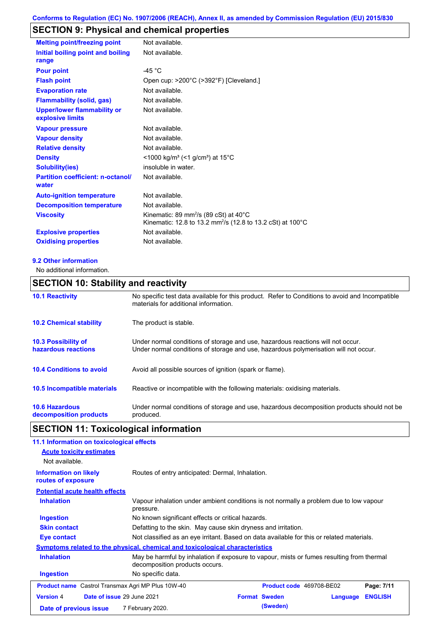# **SECTION 9: Physical and chemical properties**

| <b>Melting point/freezing point</b>                    | Not available.                                                                                                                          |
|--------------------------------------------------------|-----------------------------------------------------------------------------------------------------------------------------------------|
| Initial boiling point and boiling<br>range             | Not available.                                                                                                                          |
| <b>Pour point</b>                                      | -45 °C                                                                                                                                  |
| <b>Flash point</b>                                     | Open cup: >200°C (>392°F) [Cleveland.]                                                                                                  |
| <b>Evaporation rate</b>                                | Not available.                                                                                                                          |
| <b>Flammability (solid, gas)</b>                       | Not available.                                                                                                                          |
| <b>Upper/lower flammability or</b><br>explosive limits | Not available.                                                                                                                          |
| <b>Vapour pressure</b>                                 | Not available.                                                                                                                          |
| <b>Vapour density</b>                                  | Not available.                                                                                                                          |
| <b>Relative density</b>                                | Not available.                                                                                                                          |
| <b>Density</b>                                         | <1000 kg/m <sup>3</sup> (<1 g/cm <sup>3</sup> ) at 15 <sup>°</sup> C                                                                    |
| <b>Solubility(ies)</b>                                 | insoluble in water.                                                                                                                     |
| <b>Partition coefficient: n-octanol/</b><br>water      | Not available.                                                                                                                          |
| <b>Auto-ignition temperature</b>                       | Not available.                                                                                                                          |
| <b>Decomposition temperature</b>                       | Not available.                                                                                                                          |
| <b>Viscosity</b>                                       | Kinematic: 89 mm <sup>2</sup> /s (89 cSt) at 40 $^{\circ}$ C<br>Kinematic: 12.8 to 13.2 mm <sup>2</sup> /s (12.8 to 13.2 cSt) at 100 °C |
| <b>Explosive properties</b>                            | Not available.                                                                                                                          |
| <b>Oxidising properties</b>                            | Not available.                                                                                                                          |

#### **9.2 Other information**

No additional information.

### **SECTION 10: Stability and reactivity**

| <b>10.1 Reactivity</b>                            | No specific test data available for this product. Refer to Conditions to avoid and Incompatible<br>materials for additional information.                                |
|---------------------------------------------------|-------------------------------------------------------------------------------------------------------------------------------------------------------------------------|
| <b>10.2 Chemical stability</b>                    | The product is stable.                                                                                                                                                  |
| <b>10.3 Possibility of</b><br>hazardous reactions | Under normal conditions of storage and use, hazardous reactions will not occur.<br>Under normal conditions of storage and use, hazardous polymerisation will not occur. |
| <b>10.4 Conditions to avoid</b>                   | Avoid all possible sources of ignition (spark or flame).                                                                                                                |
| <b>10.5 Incompatible materials</b>                | Reactive or incompatible with the following materials: oxidising materials.                                                                                             |
| <b>10.6 Hazardous</b><br>decomposition products   | Under normal conditions of storage and use, hazardous decomposition products should not be<br>produced.                                                                 |

# **SECTION 11: Toxicological information**

| 11.1 Information on toxicological effects                |                                                                                                                             |                          |          |                |
|----------------------------------------------------------|-----------------------------------------------------------------------------------------------------------------------------|--------------------------|----------|----------------|
| <b>Acute toxicity estimates</b>                          |                                                                                                                             |                          |          |                |
| Not available.                                           |                                                                                                                             |                          |          |                |
| <b>Information on likely</b><br>routes of exposure       | Routes of entry anticipated: Dermal, Inhalation.                                                                            |                          |          |                |
| <b>Potential acute health effects</b>                    |                                                                                                                             |                          |          |                |
| <b>Inhalation</b>                                        | Vapour inhalation under ambient conditions is not normally a problem due to low vapour<br>pressure.                         |                          |          |                |
| <b>Ingestion</b>                                         | No known significant effects or critical hazards.                                                                           |                          |          |                |
| <b>Skin contact</b>                                      | Defatting to the skin. May cause skin dryness and irritation.                                                               |                          |          |                |
| Eye contact                                              | Not classified as an eye irritant. Based on data available for this or related materials.                                   |                          |          |                |
|                                                          | Symptoms related to the physical, chemical and toxicological characteristics                                                |                          |          |                |
| <b>Inhalation</b>                                        | May be harmful by inhalation if exposure to vapour, mists or fumes resulting from thermal<br>decomposition products occurs. |                          |          |                |
| <b>Ingestion</b>                                         | No specific data.                                                                                                           |                          |          |                |
| <b>Product name</b> Castrol Transmax Agri MP Plus 10W-40 |                                                                                                                             | Product code 469708-BE02 |          | Page: 7/11     |
| Date of issue 29 June 2021<br><b>Version 4</b>           |                                                                                                                             | <b>Format Sweden</b>     | Language | <b>ENGLISH</b> |
| Date of previous issue                                   | 7 February 2020.                                                                                                            | (Sweden)                 |          |                |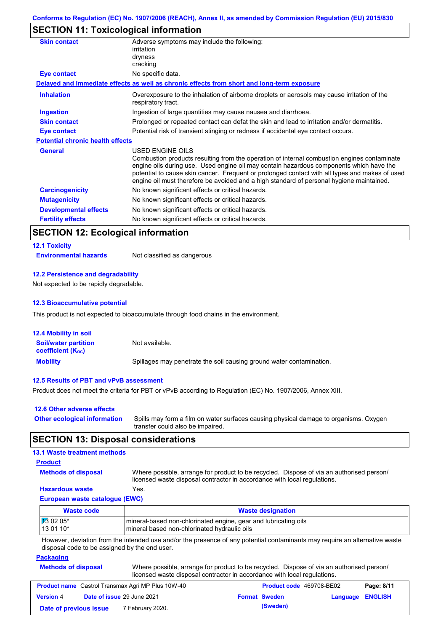## **SECTION 11: Toxicological information**

| <b>Skin contact</b>                     | Adverse symptoms may include the following:<br>irritation                                                                                                                                                                                                                                                                                                                                                |
|-----------------------------------------|----------------------------------------------------------------------------------------------------------------------------------------------------------------------------------------------------------------------------------------------------------------------------------------------------------------------------------------------------------------------------------------------------------|
|                                         | dryness<br>cracking                                                                                                                                                                                                                                                                                                                                                                                      |
| Eye contact                             | No specific data.                                                                                                                                                                                                                                                                                                                                                                                        |
|                                         | Delayed and immediate effects as well as chronic effects from short and long-term exposure                                                                                                                                                                                                                                                                                                               |
|                                         |                                                                                                                                                                                                                                                                                                                                                                                                          |
| <b>Inhalation</b>                       | Overexposure to the inhalation of airborne droplets or aerosols may cause irritation of the<br>respiratory tract.                                                                                                                                                                                                                                                                                        |
| <b>Ingestion</b>                        | Ingestion of large quantities may cause nausea and diarrhoea.                                                                                                                                                                                                                                                                                                                                            |
| <b>Skin contact</b>                     | Prolonged or repeated contact can defat the skin and lead to irritation and/or dermatitis.                                                                                                                                                                                                                                                                                                               |
| Eye contact                             | Potential risk of transient stinging or redness if accidental eye contact occurs.                                                                                                                                                                                                                                                                                                                        |
| <b>Potential chronic health effects</b> |                                                                                                                                                                                                                                                                                                                                                                                                          |
| <b>General</b>                          | USED ENGINE OILS<br>Combustion products resulting from the operation of internal combustion engines contaminate<br>engine oils during use. Used engine oil may contain hazardous components which have the<br>potential to cause skin cancer. Frequent or prolonged contact with all types and makes of used<br>engine oil must therefore be avoided and a high standard of personal hygiene maintained. |
| <b>Carcinogenicity</b>                  | No known significant effects or critical hazards.                                                                                                                                                                                                                                                                                                                                                        |
| <b>Mutagenicity</b>                     | No known significant effects or critical hazards.                                                                                                                                                                                                                                                                                                                                                        |
| <b>Developmental effects</b>            | No known significant effects or critical hazards.                                                                                                                                                                                                                                                                                                                                                        |
| <b>Fertility effects</b>                | No known significant effects or critical hazards.                                                                                                                                                                                                                                                                                                                                                        |

### **SECTION 12: Ecological information**

#### **12.1 Toxicity**

**Environmental hazards** Not classified as dangerous

#### **12.2 Persistence and degradability**

Not expected to be rapidly degradable.

#### **12.3 Bioaccumulative potential**

This product is not expected to bioaccumulate through food chains in the environment.

| <b>12.4 Mobility in soil</b>                            |                                                                      |
|---------------------------------------------------------|----------------------------------------------------------------------|
| <b>Soil/water partition</b><br><b>coefficient (Koc)</b> | Not available.                                                       |
| <b>Mobility</b>                                         | Spillages may penetrate the soil causing ground water contamination. |

#### **12.5 Results of PBT and vPvB assessment**

Product does not meet the criteria for PBT or vPvB according to Regulation (EC) No. 1907/2006, Annex XIII.

| 12.6 Other adverse effects          |                                                                                                                           |
|-------------------------------------|---------------------------------------------------------------------------------------------------------------------------|
| <b>Other ecological information</b> | Spills may form a film on water surfaces causing physical damage to organisms. Oxygen<br>transfer could also be impaired. |

### **SECTION 13: Disposal considerations**

### **13.1 Waste treatment methods**

### **Product**

**Methods of disposal**

Where possible, arrange for product to be recycled. Dispose of via an authorised person/ licensed waste disposal contractor in accordance with local regulations.

### **Hazardous waste** Yes.

#### **European waste catalogue (EWC)**

| Waste code         | <b>Waste designation</b>                                        |
|--------------------|-----------------------------------------------------------------|
| $\sqrt{13}$ 02 05* | mineral-based non-chlorinated engine, gear and lubricating oils |
| 13 01 10*          | mineral based non-chlorinated hydraulic oils                    |

However, deviation from the intended use and/or the presence of any potential contaminants may require an alternative waste disposal code to be assigned by the end user.

#### **Packaging**

| <b>Methods of disposal</b> | Where possible, arrange for product to be recycled. Dispose of via an authorised person/ |
|----------------------------|------------------------------------------------------------------------------------------|
|                            | licensed waste disposal contractor in accordance with local regulations.                 |

| <b>Product name</b> Castrol Transmax Agri MP Plus 10W-40 |                                   |                  | <b>Product code</b> 469708-BE02 |                      | Page: 8/11              |  |
|----------------------------------------------------------|-----------------------------------|------------------|---------------------------------|----------------------|-------------------------|--|
| <b>Version 4</b>                                         | <b>Date of issue 29 June 2021</b> |                  |                                 | <b>Format Sweden</b> | <b>Language ENGLISH</b> |  |
| Date of previous issue                                   |                                   | 7 February 2020. |                                 | (Sweden)             |                         |  |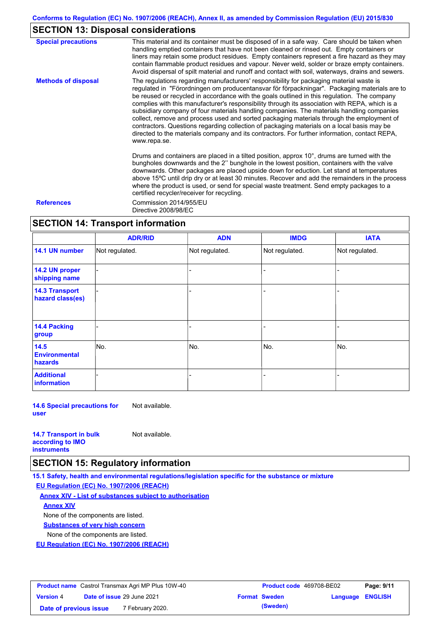### **SECTION 13: Disposal considerations**

| <b>Special precautions</b> | This material and its container must be disposed of in a safe way. Care should be taken when<br>handling emptied containers that have not been cleaned or rinsed out. Empty containers or<br>liners may retain some product residues. Empty containers represent a fire hazard as they may<br>contain flammable product residues and vapour. Never weld, solder or braze empty containers.<br>Avoid dispersal of spilt material and runoff and contact with soil, waterways, drains and sewers.                                                                                                                                                                                                                                                                                                   |
|----------------------------|---------------------------------------------------------------------------------------------------------------------------------------------------------------------------------------------------------------------------------------------------------------------------------------------------------------------------------------------------------------------------------------------------------------------------------------------------------------------------------------------------------------------------------------------------------------------------------------------------------------------------------------------------------------------------------------------------------------------------------------------------------------------------------------------------|
| <b>Methods of disposal</b> | The regulations regarding manufacturers' responsibility for packaging material waste is<br>regulated in "Förordningen om producentansvar för förpackningar". Packaging materials are to<br>be reused or recycled in accordance with the goals outlined in this regulation. The company<br>complies with this manufacturer's responsibility through its association with REPA, which is a<br>subsidiary company of four materials handling companies. The materials handling companies<br>collect, remove and process used and sorted packaging materials through the employment of<br>contractors. Questions regarding collection of packaging materials on a local basis may be<br>directed to the materials company and its contractors. For further information, contact REPA,<br>www.repa.se. |
|                            | Drums and containers are placed in a tilted position, approx 10°, drums are turned with the<br>bungholes downwards and the 2" bunghole in the lowest position, containers with the valve<br>downwards. Other packages are placed upside down for eduction. Let stand at temperatures<br>above 15°C until drip dry or at least 30 minutes. Recover and add the remainders in the process<br>where the product is used, or send for special waste treatment. Send empty packages to a<br>certified recycler/receiver for recycling.                                                                                                                                                                                                                                                                 |
| <b>References</b>          | Commission 2014/955/EU<br>Directive 2008/98/EC                                                                                                                                                                                                                                                                                                                                                                                                                                                                                                                                                                                                                                                                                                                                                    |

### **SECTION 14: Transport information**

|                                           | <b>ADR/RID</b> | <b>ADN</b>     | <b>IMDG</b>    | <b>IATA</b>    |
|-------------------------------------------|----------------|----------------|----------------|----------------|
| 14.1 UN number                            | Not regulated. | Not regulated. | Not regulated. | Not regulated. |
| 14.2 UN proper<br>shipping name           |                |                |                |                |
| <b>14.3 Transport</b><br>hazard class(es) |                |                |                |                |
| 14.4 Packing<br>group                     |                |                |                |                |
| 14.5<br><b>Environmental</b><br>hazards   | No.            | No.            | No.            | No.            |
| <b>Additional</b><br>information          |                |                |                |                |

**14.6 Special precautions for user** Not available.

| <b>14.7 Transport in bulk</b> | Not available. |
|-------------------------------|----------------|
| according to <b>IMO</b>       |                |
| <b>instruments</b>            |                |

### **SECTION 15: Regulatory information**

**15.1 Safety, health and environmental regulations/legislation specific for the substance or mixture**

#### **EU Regulation (EC) No. 1907/2006 (REACH)**

**Annex XIV - List of substances subject to authorisation**

### **Annex XIV**

None of the components are listed.

**Substances of very high concern**

None of the components are listed.

**EU Regulation (EC) No. 1907/2006 (REACH)**

| <b>Product name</b> Castrol Transmax Agri MP Plus 10W-40 |                                   |                             | <b>Product code</b> 469708-BE02 | Page: 9/11           |                         |  |
|----------------------------------------------------------|-----------------------------------|-----------------------------|---------------------------------|----------------------|-------------------------|--|
| <b>Version 4</b>                                         | <b>Date of issue 29 June 2021</b> |                             |                                 | <b>Format Sweden</b> | <b>Language ENGLISH</b> |  |
| Date of previous issue                                   |                                   | <sup>7</sup> February 2020. |                                 | (Sweden)             |                         |  |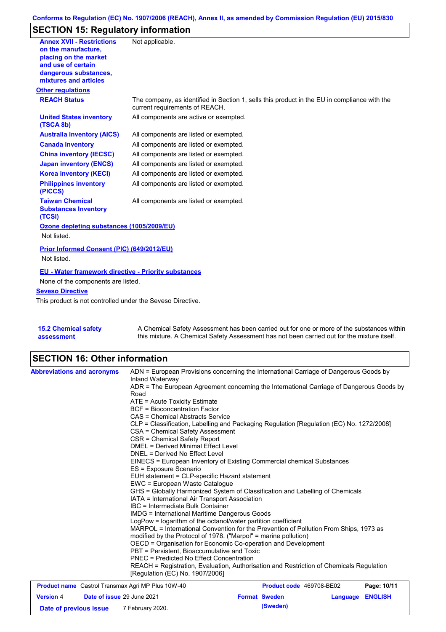# **SECTION 15: Regulatory information**

| <b>Annex XVII - Restrictions</b>                                | Not applicable.                                                                                                                |
|-----------------------------------------------------------------|--------------------------------------------------------------------------------------------------------------------------------|
| on the manufacture,                                             |                                                                                                                                |
| placing on the market                                           |                                                                                                                                |
| and use of certain<br>dangerous substances,                     |                                                                                                                                |
| mixtures and articles                                           |                                                                                                                                |
| <b>Other regulations</b>                                        |                                                                                                                                |
| <b>REACH Status</b>                                             | The company, as identified in Section 1, sells this product in the EU in compliance with the<br>current requirements of REACH. |
| <b>United States inventory</b><br>(TSCA 8b)                     | All components are active or exempted.                                                                                         |
| <b>Australia inventory (AICS)</b>                               | All components are listed or exempted.                                                                                         |
| <b>Canada inventory</b>                                         | All components are listed or exempted.                                                                                         |
| <b>China inventory (IECSC)</b>                                  | All components are listed or exempted.                                                                                         |
| <b>Japan inventory (ENCS)</b>                                   | All components are listed or exempted.                                                                                         |
| <b>Korea inventory (KECI)</b>                                   | All components are listed or exempted.                                                                                         |
| <b>Philippines inventory</b><br>(PICCS)                         | All components are listed or exempted.                                                                                         |
| <b>Taiwan Chemical</b><br><b>Substances Inventory</b><br>(TCSI) | All components are listed or exempted.                                                                                         |
| Ozone depleting substances (1005/2009/EU)                       |                                                                                                                                |
| Not listed.                                                     |                                                                                                                                |
| Prior Informed Consent (PIC) (649/2012/EU)                      |                                                                                                                                |
| Not listed.                                                     |                                                                                                                                |
| <b>EU - Water framework directive - Priority substances</b>     |                                                                                                                                |
| None of the components are listed.                              |                                                                                                                                |
| <b>Seveso Directive</b>                                         |                                                                                                                                |
| This product is not controlled under the Seveso Directive.      |                                                                                                                                |
|                                                                 |                                                                                                                                |
|                                                                 |                                                                                                                                |
|                                                                 |                                                                                                                                |

| <b>15.2 Chemical safety</b> | A Chemical Safety Assessment has been carried out for one or more of the substances within  |
|-----------------------------|---------------------------------------------------------------------------------------------|
| assessment                  | this mixture. A Chemical Safety Assessment has not been carried out for the mixture itself. |

# **SECTION 16: Other information**

| <b>Abbreviations and acronyms</b> |                            | ADN = European Provisions concerning the International Carriage of Dangerous Goods by<br>Inland Waterway                                   |                          |          |                |  |  |
|-----------------------------------|----------------------------|--------------------------------------------------------------------------------------------------------------------------------------------|--------------------------|----------|----------------|--|--|
|                                   |                            | ADR = The European Agreement concerning the International Carriage of Dangerous Goods by<br>Road                                           |                          |          |                |  |  |
|                                   |                            | ATE = Acute Toxicity Estimate                                                                                                              |                          |          |                |  |  |
|                                   |                            | <b>BCF</b> = Bioconcentration Factor                                                                                                       |                          |          |                |  |  |
|                                   |                            | CAS = Chemical Abstracts Service                                                                                                           |                          |          |                |  |  |
|                                   |                            | CLP = Classification, Labelling and Packaging Regulation [Regulation (EC) No. 1272/2008]                                                   |                          |          |                |  |  |
|                                   |                            | CSA = Chemical Safety Assessment                                                                                                           |                          |          |                |  |  |
|                                   |                            | CSR = Chemical Safety Report                                                                                                               |                          |          |                |  |  |
|                                   |                            | DMEL = Derived Minimal Effect Level                                                                                                        |                          |          |                |  |  |
|                                   |                            | DNEL = Derived No Effect Level                                                                                                             |                          |          |                |  |  |
|                                   |                            | EINECS = European Inventory of Existing Commercial chemical Substances                                                                     |                          |          |                |  |  |
|                                   |                            | ES = Exposure Scenario<br>EUH statement = CLP-specific Hazard statement                                                                    |                          |          |                |  |  |
|                                   |                            |                                                                                                                                            |                          |          |                |  |  |
|                                   |                            | EWC = European Waste Catalogue<br>GHS = Globally Harmonized System of Classification and Labelling of Chemicals                            |                          |          |                |  |  |
|                                   |                            |                                                                                                                                            |                          |          |                |  |  |
|                                   |                            | IATA = International Air Transport Association                                                                                             |                          |          |                |  |  |
|                                   |                            | IBC = Intermediate Bulk Container                                                                                                          |                          |          |                |  |  |
|                                   |                            | <b>IMDG = International Maritime Dangerous Goods</b>                                                                                       |                          |          |                |  |  |
|                                   |                            | LogPow = logarithm of the octanol/water partition coefficient                                                                              |                          |          |                |  |  |
|                                   |                            | MARPOL = International Convention for the Prevention of Pollution From Ships, 1973 as                                                      |                          |          |                |  |  |
|                                   |                            | modified by the Protocol of 1978. ("Marpol" = marine pollution)                                                                            |                          |          |                |  |  |
|                                   |                            | OECD = Organisation for Economic Co-operation and Development                                                                              |                          |          |                |  |  |
|                                   |                            | PBT = Persistent, Bioaccumulative and Toxic                                                                                                |                          |          |                |  |  |
|                                   |                            | <b>PNEC = Predicted No Effect Concentration</b><br>REACH = Registration, Evaluation, Authorisation and Restriction of Chemicals Regulation |                          |          |                |  |  |
|                                   |                            | [Regulation (EC) No. 1907/2006]                                                                                                            |                          |          |                |  |  |
|                                   |                            | <b>Product name</b> Castrol Transmax Agri MP Plus 10W-40                                                                                   | Product code 469708-BE02 |          | Page: 10/11    |  |  |
| <b>Version 4</b>                  | Date of issue 29 June 2021 |                                                                                                                                            | <b>Format Sweden</b>     | Language | <b>ENGLISH</b> |  |  |

**Date of previous issue (Sweden)** 7 February 2020.